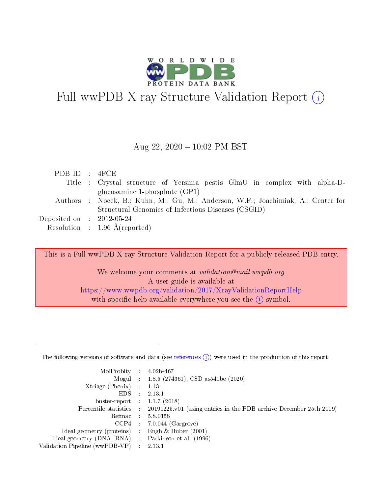

# Full wwPDB X-ray Structure Validation Report  $(i)$

### Aug 22, 2020 10:02 PM BST

| PDBID : 4FCE                        |                                                                                   |
|-------------------------------------|-----------------------------------------------------------------------------------|
|                                     | Title : Crystal structure of Yersinia pestis GlmU in complex with alpha-D-        |
|                                     | glucosamine 1-phosphate $(GP1)$                                                   |
|                                     | Authors : Nocek, B.; Kuhn, M.; Gu, M.; Anderson, W.F.; Joachimiak, A.; Center for |
|                                     | Structural Genomics of Infectious Diseases (CSGID)                                |
| Deposited on $\;$ : 2012-05-24 $\;$ |                                                                                   |
|                                     | Resolution : $1.96 \text{ Å}$ (reported)                                          |

This is a Full wwPDB X-ray Structure Validation Report for a publicly released PDB entry.

We welcome your comments at validation@mail.wwpdb.org A user guide is available at <https://www.wwpdb.org/validation/2017/XrayValidationReportHelp> with specific help available everywhere you see the  $(i)$  symbol.

The following versions of software and data (see [references](https://www.wwpdb.org/validation/2017/XrayValidationReportHelp#references)  $(1)$ ) were used in the production of this report:

| MolProbity                     | -11        | $4.02b - 467$                                                                |
|--------------------------------|------------|------------------------------------------------------------------------------|
|                                |            | Mogul : $1.8.5$ (274361), CSD as 541be (2020)                                |
| Xtriage (Phenix)               |            | 1.13                                                                         |
| EDS.                           |            | 2.13.1                                                                       |
| buster-report : $1.1.7$ (2018) |            |                                                                              |
| Percentile statistics :        |            | $20191225 \text{ v}01$ (using entries in the PDB archive December 25th 2019) |
| Refmac                         | $\sim 100$ | 5.8.0158                                                                     |
| CCP4                           |            | $7.0.044$ (Gargrove)                                                         |
| Ideal geometry (proteins) :    |            | Engh & Huber $(2001)$                                                        |
| Ideal geometry (DNA, RNA) :    |            | Parkinson et al. (1996)                                                      |
| Validation Pipeline (wwPDB-VP) |            | 2.13.1                                                                       |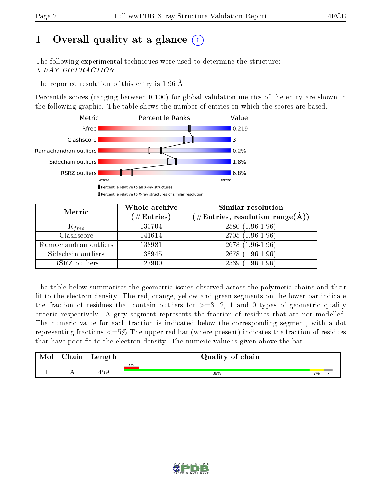# 1 [O](https://www.wwpdb.org/validation/2017/XrayValidationReportHelp#overall_quality)verall quality at a glance  $(i)$

The following experimental techniques were used to determine the structure: X-RAY DIFFRACTION

The reported resolution of this entry is 1.96 Å.

Percentile scores (ranging between 0-100) for global validation metrics of the entry are shown in the following graphic. The table shows the number of entries on which the scores are based.



| Metric                | Whole archive<br>$(\#\mathrm{Entries})$ | Similar resolution<br>$(\#\text{Entries}, \text{resolution range}(\textup{\AA}))$ |
|-----------------------|-----------------------------------------|-----------------------------------------------------------------------------------|
| $R_{free}$            | 130704                                  | $2580(1.96-1.96)$                                                                 |
| Clashscore            | 141614                                  | $2705(1.96-1.96)$                                                                 |
| Ramachandran outliers | 138981                                  | $2678(1.96-1.96)$                                                                 |
| Sidechain outliers    | 138945                                  | $2678(1.96-1.96)$                                                                 |
| RSRZ outliers         | 127900                                  | $2539(1.96-1.96)$                                                                 |

The table below summarises the geometric issues observed across the polymeric chains and their fit to the electron density. The red, orange, yellow and green segments on the lower bar indicate the fraction of residues that contain outliers for  $>=3, 2, 1$  and 0 types of geometric quality criteria respectively. A grey segment represents the fraction of residues that are not modelled. The numeric value for each fraction is indicated below the corresponding segment, with a dot representing fractions <=5% The upper red bar (where present) indicates the fraction of residues that have poor fit to the electron density. The numeric value is given above the bar.

| Mol | $\cap$ hain | Length | Quality of chain |    |  |  |  |  |
|-----|-------------|--------|------------------|----|--|--|--|--|
|     |             |        | 7%               |    |  |  |  |  |
|     |             | 459    | 89%              | 7% |  |  |  |  |

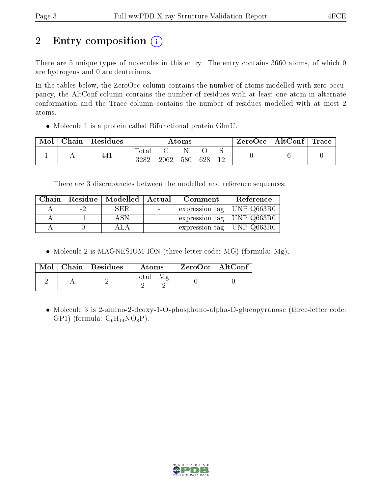# 2 Entry composition  $\left( \cdot \right)$

There are 5 unique types of molecules in this entry. The entry contains 3660 atoms, of which 0 are hydrogens and 0 are deuteriums.

In the tables below, the ZeroOcc column contains the number of atoms modelled with zero occupancy, the AltConf column contains the number of residues with at least one atom in alternate conformation and the Trace column contains the number of residues modelled with at most 2 atoms.

Molecule 1 is a protein called Bifunctional protein GlmU.

| Mol | Chain | Residues | $\rm{Atoms}$        |      |     |     |  | $ZeroOcc \mid AltConf \mid$ | Trace |
|-----|-------|----------|---------------------|------|-----|-----|--|-----------------------------|-------|
|     |       | 441      | $\rm Total$<br>3282 | 2062 | 580 | 628 |  |                             |       |

There are 3 discrepancies between the modelled and reference sequences:

| Chain |        | Residue   Modelled | Actual | Comment                     | Reference  |
|-------|--------|--------------------|--------|-----------------------------|------------|
|       | - 7    | SER.               |        | expression tag              | UNP Q663R0 |
|       | $\sim$ |                    |        | expression tag   UNP Q663R0 |            |
|       |        |                    |        | expression tag              | UNP Q663R0 |

• Molecule 2 is MAGNESIUM ION (three-letter code: MG) (formula: Mg).

|  | $Mol$   Chain   Residues | Atoms       | $ZeroOcc \mid AltConf$ |  |
|--|--------------------------|-------------|------------------------|--|
|  |                          | Total<br>Μø |                        |  |

• Molecule 3 is 2-amino-2-deoxy-1-O-phosphono-alpha-D-glucopyranose (three-letter code: GP1) (formula:  $C_6H_{14}NO_8P$ ).

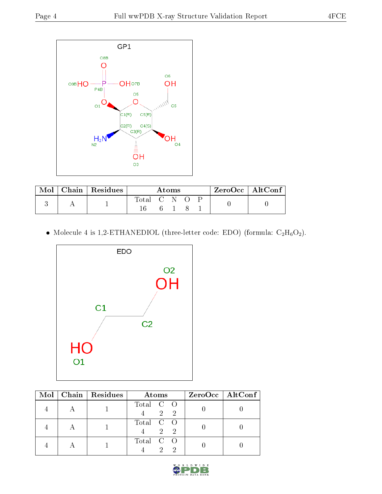

| Mol | $ $ Chain $ $ Residues | Atoms |       |  |  |  | $\mathsf{ZeroOcc} \mid \mathsf{AltConf} \mid$ |  |
|-----|------------------------|-------|-------|--|--|--|-----------------------------------------------|--|
|     |                        | Total | - C N |  |  |  |                                               |  |
|     |                        |       |       |  |  |  |                                               |  |

 $\bullet$  Molecule 4 is 1,2-ETHANEDIOL (three-letter code: EDO) (formula:  $\rm{C_2H_6O_2}).$ 



|  | Mol   Chain   Residues | Atoms                     | $ZeroOcc$   AltConf |
|--|------------------------|---------------------------|---------------------|
|  |                        | Total C O<br>$2 \quad 2$  |                     |
|  |                        | Total C O<br>$2 \sqrt{2}$ |                     |
|  |                        | Total C O                 |                     |

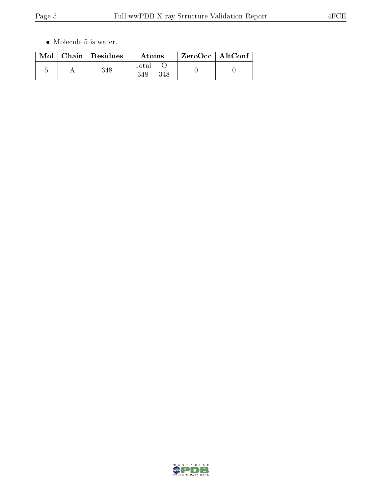$\bullet\,$  Molecule 5 is water.

|  | $Mol$   Chain   Residues | Atoms        | $\rm ZeroOcc \mid AltConf$ |  |
|--|--------------------------|--------------|----------------------------|--|
|  | 348                      | Total<br>348 |                            |  |

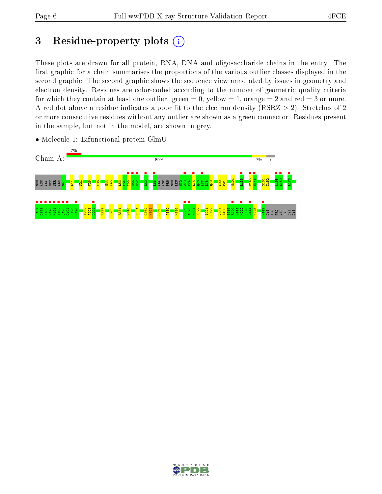# 3 Residue-property plots  $(i)$

These plots are drawn for all protein, RNA, DNA and oligosaccharide chains in the entry. The first graphic for a chain summarises the proportions of the various outlier classes displayed in the second graphic. The second graphic shows the sequence view annotated by issues in geometry and electron density. Residues are color-coded according to the number of geometric quality criteria for which they contain at least one outlier: green  $= 0$ , yellow  $= 1$ , orange  $= 2$  and red  $= 3$  or more. A red dot above a residue indicates a poor fit to the electron density ( $RSRZ > 2$ ). Stretches of 2 or more consecutive residues without any outlier are shown as a green connector. Residues present in the sample, but not in the model, are shown in grey.



• Molecule 1: Bifunctional protein GlmU

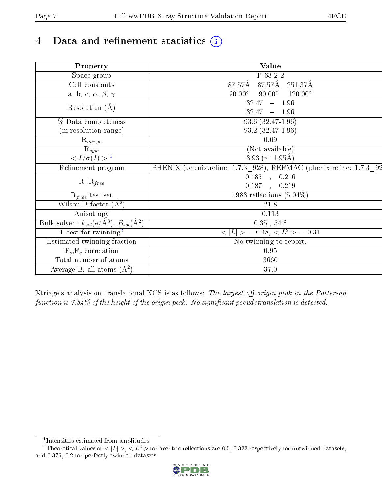## 4 Data and refinement statistics  $(i)$

| Property                                                             | Value                                                              |  |  |  |  |
|----------------------------------------------------------------------|--------------------------------------------------------------------|--|--|--|--|
| Space group                                                          | P 63 2 2                                                           |  |  |  |  |
| Cell constants                                                       | $87.57\text{\AA}$ 251.37Å<br>87.57Å                                |  |  |  |  |
| a, b, c, $\alpha$ , $\beta$ , $\gamma$                               | $90.00^{\circ}$ $120.00^{\circ}$<br>$90.00^\circ$                  |  |  |  |  |
| Resolution $(\AA)$                                                   | $\overline{32.47}$ - 1.96                                          |  |  |  |  |
|                                                                      | $32.47 - 1.96$                                                     |  |  |  |  |
| % Data completeness                                                  | 93.6 (32.47-1.96)                                                  |  |  |  |  |
| (in resolution range)                                                | 93.2 (32.47-1.96)                                                  |  |  |  |  |
| $R_{merge}$                                                          | 0.09                                                               |  |  |  |  |
| $\mathrm{R}_{sym}$                                                   | (Not available)                                                    |  |  |  |  |
| $\langle I/\sigma(I) \rangle^{-1}$                                   | 3.93 (at $1.95\text{\AA}$ )                                        |  |  |  |  |
| Refinement program                                                   | PHENIX (phenix.refine: 1.7.3 928), REFMAC (phenix.refine: 1.7.3 92 |  |  |  |  |
| $R, R_{free}$                                                        | $\overline{0.185}$ , $\overline{0.216}$                            |  |  |  |  |
|                                                                      | 0.187, 0.219                                                       |  |  |  |  |
| $R_{free}$ test set                                                  | 1983 reflections $(5.04\%)$                                        |  |  |  |  |
| Wilson B-factor $(A^2)$                                              | 21.8                                                               |  |  |  |  |
| Anisotropy                                                           | 0.113                                                              |  |  |  |  |
| Bulk solvent $k_{sol}(e/\mathring{A}^3)$ , $B_{sol}(\mathring{A}^2)$ | $0.35$ , 54.8                                                      |  |  |  |  |
| L-test for twinning <sup>2</sup>                                     | $\langle  L  \rangle = 0.48, \langle L^2 \rangle = 0.31$           |  |  |  |  |
| Estimated twinning fraction                                          | No twinning to report.                                             |  |  |  |  |
| $F_o, F_c$ correlation                                               | 0.95                                                               |  |  |  |  |
| Total number of atoms                                                | 3660                                                               |  |  |  |  |
| Average B, all atoms $(A^2)$                                         | 37.0                                                               |  |  |  |  |

Xtriage's analysis on translational NCS is as follows: The largest off-origin peak in the Patterson function is  $7.84\%$  of the height of the origin peak. No significant pseudotranslation is detected.

<sup>&</sup>lt;sup>2</sup>Theoretical values of  $\langle |L| \rangle$ ,  $\langle L^2 \rangle$  for acentric reflections are 0.5, 0.333 respectively for untwinned datasets, and 0.375, 0.2 for perfectly twinned datasets.



<span id="page-6-1"></span><span id="page-6-0"></span><sup>1</sup> Intensities estimated from amplitudes.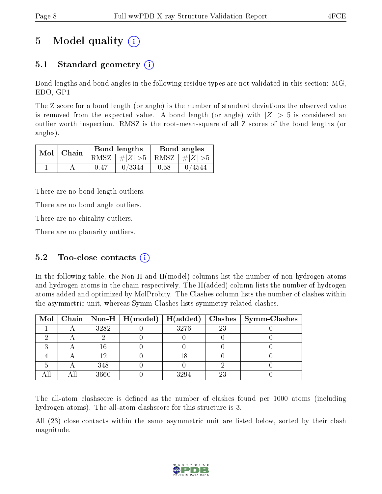# 5 Model quality  $(i)$

## 5.1 Standard geometry  $(i)$

Bond lengths and bond angles in the following residue types are not validated in this section: MG, EDO, GP1

The Z score for a bond length (or angle) is the number of standard deviations the observed value is removed from the expected value. A bond length (or angle) with  $|Z| > 5$  is considered an outlier worth inspection. RMSZ is the root-mean-square of all Z scores of the bond lengths (or angles).

| $Mol$   Chain |      | Bond lengths                    | Bond angles |                   |  |
|---------------|------|---------------------------------|-------------|-------------------|--|
|               |      | RMSZ $ #Z  > 5$ RMSZ $ #Z  > 5$ |             |                   |  |
|               | 0.47 | 0/3344                          | 0.58        | $\binom{0}{4544}$ |  |

There are no bond length outliers.

There are no bond angle outliers.

There are no chirality outliers.

There are no planarity outliers.

### 5.2 Too-close contacts  $(i)$

In the following table, the Non-H and H(model) columns list the number of non-hydrogen atoms and hydrogen atoms in the chain respectively. The H(added) column lists the number of hydrogen atoms added and optimized by MolProbity. The Clashes column lists the number of clashes within the asymmetric unit, whereas Symm-Clashes lists symmetry related clashes.

|  |      |      |    | Mol   Chain   Non-H   H(model)   H(added)   Clashes   Symm-Clashes |
|--|------|------|----|--------------------------------------------------------------------|
|  | 3282 | 3276 | 23 |                                                                    |
|  |      |      |    |                                                                    |
|  |      |      |    |                                                                    |
|  |      |      |    |                                                                    |
|  | 348  |      |    |                                                                    |
|  | 3660 | 99a  |    |                                                                    |

The all-atom clashscore is defined as the number of clashes found per 1000 atoms (including hydrogen atoms). The all-atom clashscore for this structure is 3.

All (23) close contacts within the same asymmetric unit are listed below, sorted by their clash magnitude.

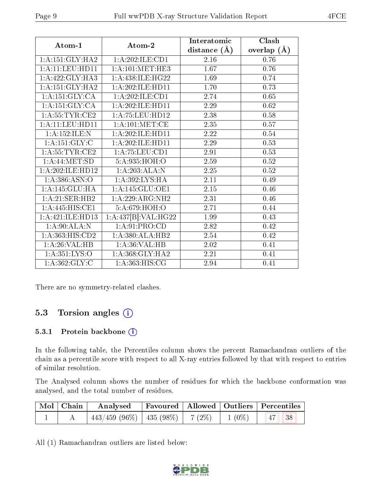| Atom-1                    | Atom-2               | Interatomic      | Clash         |  |
|---------------------------|----------------------|------------------|---------------|--|
|                           |                      | distance $(\AA)$ | overlap $(A)$ |  |
| 1: A:151: GLY:HA2         | 1: A:202: ILE: CD1   | 2.16             | 0.76          |  |
| 1:A:11:LEU:HD11           | 1: A:101:MET:HE3     | 1.67             | 0.76          |  |
| 1: A: 422: GLY: HA3       | 1:A:438:ILE:HG22     | 1.69             | 0.74          |  |
| 1:A:151:GLY:HA2           | 1: A:202: ILE: HD11  | 1.70             | 0.73          |  |
| 1:A:151:GLY:CA            | 1:A:202:ILE:CD1      | 2.74             | 0.65          |  |
| 1:A:151:GLY:CA            | 1:A:202:ILE:HD11     | 2.29             | 0.62          |  |
| 1: A: 55: TYR: CE2        | 1: A: 75: LEU: HD12  | 2.38             | 0.58          |  |
| 1:A:11:LEU:HD11           | 1: A: 101: MET:CE    | 2.35             | 0.57          |  |
| 1: A: 152: ILE:N          | 1: A:202: ILE: HD11  | 2.22             | 0.54          |  |
| 1: A:151: GLY: C          | 1:A:202:ILE:HD11     | 2.29             | 0.53          |  |
| 1: A:55:TYR:CE2           | 1:A:75:LEU:CD1       | 2.91             | 0.53          |  |
| 1: A:44: MET:SD           | 5:A:935:HOH:O        | 2.59             | 0.52          |  |
| 1:A:202:ILE:HD12          | 1:A:203:ALA:N        | 2.25             | 0.52          |  |
| 1:A:386:ASN:O             | 1:A:392:LYS:HA       | 2.11             | 0.49          |  |
| 1:A:145:GLU:HA            | 1:A:145:GLU:OE1      | 2.15             | 0.46          |  |
| 1:A:21:SER:HB2            | 1:A:229:ARG:NH2      | 2.31             | 0.46          |  |
| 1: A:445: HIS: CE1        | 5:A:679:HOH:O        | 2.71             | 0.44          |  |
| 1:A:421:ILE:HD13          | 1:A:437[B]:VAL:H G22 | 1.99             | 0.43          |  |
| $1:A:90:ALA:\overline{N}$ | 1: A:91: PRO:CD      | 2.82             | 0.42          |  |
| 1: A: 363: HIS: CD2       | 1:A:380:ALA:HB2      | 2.54             | 0.42          |  |
| 1:A:26:VAL:HB             | 1:A:36:VAL:HB        | 2.02             | 0.41          |  |
| 1: A: 351: LYS: O         | 1: A:368: GLY:HA2    | 2.21             | 0.41          |  |
| 1: A: 362: GLY: C         | 1:A:363:HIS:CG       | 2.94             | 0.41          |  |

There are no symmetry-related clashes.

### 5.3 Torsion angles (i)

#### 5.3.1 Protein backbone (i)

In the following table, the Percentiles column shows the percent Ramachandran outliers of the chain as a percentile score with respect to all X-ray entries followed by that with respect to entries of similar resolution.

The Analysed column shows the number of residues for which the backbone conformation was analysed, and the total number of residues.

| $\mid$ Mol $\mid$ Chain $\mid$ | $\boldsymbol{\mathrm{Analysed}}$        | Favoured   Allowed   Outliers   Percentiles |          |                               |  |
|--------------------------------|-----------------------------------------|---------------------------------------------|----------|-------------------------------|--|
|                                | $443/459$ (96\%)   435 (98\%)   7 (2\%) |                                             | $1(0\%)$ | $\parallel$ 47 $\parallel$ 38 |  |

All (1) Ramachandran outliers are listed below:

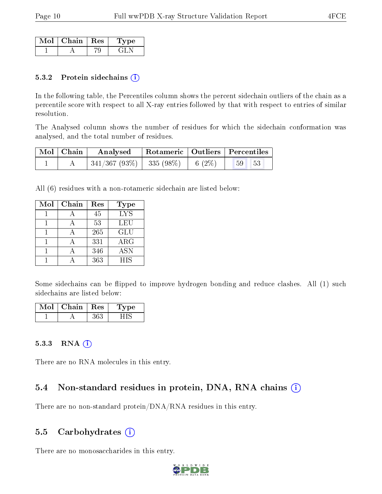| Mol | $\top$ Chain   Res | vne |
|-----|--------------------|-----|
|     |                    |     |

#### 5.3.2 Protein sidechains (i)

In the following table, the Percentiles column shows the percent sidechain outliers of the chain as a percentile score with respect to all X-ray entries followed by that with respect to entries of similar resolution.

The Analysed column shows the number of residues for which the sidechain conformation was analysed, and the total number of residues.

| Mol   Chain | Analysed                            |  | Rotameric   Outliers   Percentiles |
|-------------|-------------------------------------|--|------------------------------------|
|             | $341/367 (93\%)$ 335 (98\%) 6 (2\%) |  | $-53$<br>59 <sup>°</sup>           |

All (6) residues with a non-rotameric sidechain are listed below:

| Mol | Chain     | Res              | Type                    |
|-----|-----------|------------------|-------------------------|
|     | $\forall$ | 45               | $\overline{\text{LYS}}$ |
|     |           | 53               | LEU                     |
|     |           | 265              | GLU                     |
|     |           | 331              | $\rm{ARG}$              |
|     |           | 346              | ASN                     |
|     |           | $36\overline{3}$ | <b>HIS</b>              |

Some sidechains can be flipped to improve hydrogen bonding and reduce clashes. All (1) such sidechains are listed below:

| Mol | Chain | Res | Lype |
|-----|-------|-----|------|
|     |       |     |      |

#### 5.3.3 RNA (i)

There are no RNA molecules in this entry.

### 5.4 Non-standard residues in protein, DNA, RNA chains  $(i)$

There are no non-standard protein/DNA/RNA residues in this entry.

#### 5.5 Carbohydrates (i)

There are no monosaccharides in this entry.

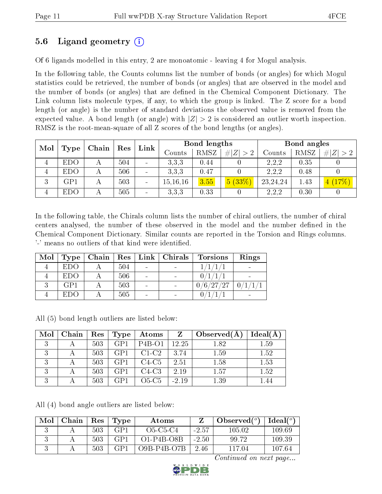### 5.6 Ligand geometry (i)

Of 6 ligands modelled in this entry, 2 are monoatomic - leaving 4 for Mogul analysis.

In the following table, the Counts columns list the number of bonds (or angles) for which Mogul statistics could be retrieved, the number of bonds (or angles) that are observed in the model and the number of bonds (or angles) that are dened in the Chemical Component Dictionary. The Link column lists molecule types, if any, to which the group is linked. The Z score for a bond length (or angle) is the number of standard deviations the observed value is removed from the expected value. A bond length (or angle) with  $|Z| > 2$  is considered an outlier worth inspection. RMSZ is the root-mean-square of all Z scores of the bond lengths (or angles).

| Mol            |      | Chain | Res | Link                     | Bond lengths      |      |             | Bond angles |      |             |
|----------------|------|-------|-----|--------------------------|-------------------|------|-------------|-------------|------|-------------|
|                | Type |       |     |                          | $\mathrm{Counts}$ | RMSZ | # $ Z  > 2$ | Counts      | RMSZ | # $ Z  > 2$ |
| 4              | EDO  |       | 504 |                          | 3.3.3             | 0.44 |             | 2,2,2       | 0.35 |             |
| $\overline{4}$ | EDO  |       | 506 |                          | 3.3.3             | 0.47 |             | 2,2,2       | 0.48 |             |
| 3              | GP1  |       | 503 | $\overline{\phantom{a}}$ | 15, 16, 16        | 3.55 | 5(33%)      | 23, 24, 24  | 1.43 | (17%)       |
| $\overline{4}$ | EDO  |       | 505 |                          | 3.3.3             | 0.33 |             | 2,2,2       | 0.30 |             |

In the following table, the Chirals column lists the number of chiral outliers, the number of chiral centers analysed, the number of these observed in the model and the number defined in the Chemical Component Dictionary. Similar counts are reported in the Torsion and Rings columns. '-' means no outliers of that kind were identified.

| Mol | Type       |     | $\vert$ Chain $\vert$ Res $\vert$ Link $\vert$ Chirals | <b>Torsions</b> | Rings |
|-----|------------|-----|--------------------------------------------------------|-----------------|-------|
|     | <b>EDO</b> | 504 |                                                        |                 |       |
|     | <b>EDO</b> | 506 |                                                        |                 |       |
|     | GPI        | 503 |                                                        | 0/6/27/27       |       |
|     | EDO.       | 505 |                                                        |                 |       |

All (5) bond length outliers are listed below:

| Mol          | Chain ' | $\operatorname{Res}$ | Type            | Atoms    | Z       | Observed(A) | Ideal(A) |
|--------------|---------|----------------------|-----------------|----------|---------|-------------|----------|
|              |         | 503                  | GPI             | $P4B-O1$ | 12.25   | 1.82        | 1.59     |
|              |         | 503                  | GP <sub>1</sub> | $C1-C2$  | 3.74    | 1.59        | 1.52     |
|              |         | 503                  | GP <sub>1</sub> | $C4-C5$  | 2.51    | 1.58        | 1.53     |
| $\mathbf{Q}$ |         | 503                  | GP <sub>1</sub> | $C4-C3$  | 2.19    | 1.57        | 1.52     |
|              |         | 503                  | GP <sub>1</sub> | $O5-C5$  | $-2.19$ | 1.39        | 1.44     |

All (4) bond angle outliers are listed below:

| Mol | Chain | $\operatorname{Res}% \left( \mathcal{N}\right) \equiv\operatorname{Res}(\mathcal{N}_{0},\mathcal{N}_{0})$ | Type           | Atoms        |         | Observed $(°)$ | $Ideal(^o)$ |
|-----|-------|-----------------------------------------------------------------------------------------------------------|----------------|--------------|---------|----------------|-------------|
| u   |       | 503                                                                                                       | GP 1           | O5-C5-C4     | $-2.57$ | 105 02         | 109.69      |
|     |       | 503                                                                                                       | CP1            | $O1-P4B-O8B$ | $-2.50$ | 99.72          | 109.39      |
| ч.  |       | 503                                                                                                       | $\mathsf{C}P1$ | O9B-P4B-O7B  | 2.46    | 117 04         | 107.64      |

Continued on next page...

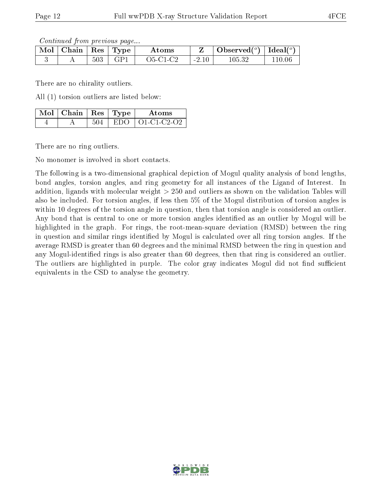Continued from previous page...

| Mol | Chain | Res     | 'Type | Atoms      |                         | Observed $(°)$ | Ideal $(°)$ |
|-----|-------|---------|-------|------------|-------------------------|----------------|-------------|
|     |       | $503\,$ | GP.   | $O5-C1-C2$ | 2.10<br>$\sim$ $\prime$ | 105.32         |             |

There are no chirality outliers.

All (1) torsion outliers are listed below:

| $\text{Mol}$   Chain   Res   Type |        | Atoms                   |
|-----------------------------------|--------|-------------------------|
|                                   | -EDO - | $\pm$ O1-C1-C2-O2 $\pm$ |

There are no ring outliers.

No monomer is involved in short contacts.

The following is a two-dimensional graphical depiction of Mogul quality analysis of bond lengths, bond angles, torsion angles, and ring geometry for all instances of the Ligand of Interest. In addition, ligands with molecular weight > 250 and outliers as shown on the validation Tables will also be included. For torsion angles, if less then 5% of the Mogul distribution of torsion angles is within 10 degrees of the torsion angle in question, then that torsion angle is considered an outlier. Any bond that is central to one or more torsion angles identified as an outlier by Mogul will be highlighted in the graph. For rings, the root-mean-square deviation (RMSD) between the ring in question and similar rings identified by Mogul is calculated over all ring torsion angles. If the average RMSD is greater than 60 degrees and the minimal RMSD between the ring in question and any Mogul-identified rings is also greater than 60 degrees, then that ring is considered an outlier. The outliers are highlighted in purple. The color gray indicates Mogul did not find sufficient equivalents in the CSD to analyse the geometry.

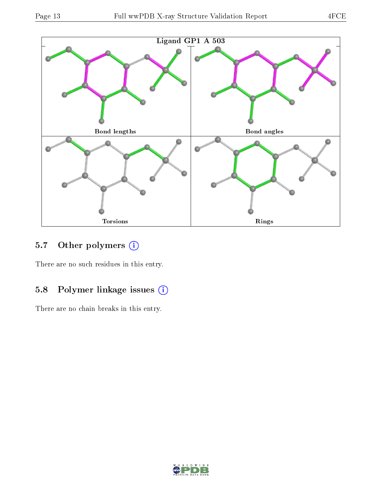

## 5.7 [O](https://www.wwpdb.org/validation/2017/XrayValidationReportHelp#nonstandard_residues_and_ligands)ther polymers (i)

There are no such residues in this entry.

## 5.8 Polymer linkage issues (i)

There are no chain breaks in this entry.

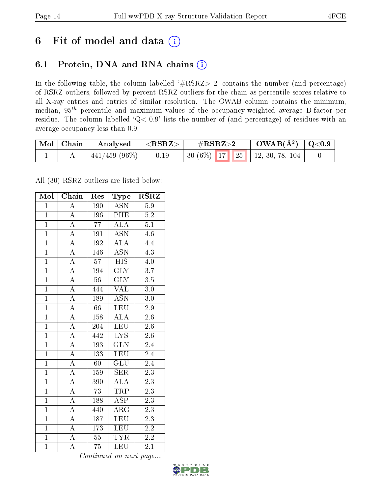## 6 Fit of model and data  $(i)$

## 6.1 Protein, DNA and RNA chains  $(i)$

In the following table, the column labelled  $#RSRZ> 2'$  contains the number (and percentage) of RSRZ outliers, followed by percent RSRZ outliers for the chain as percentile scores relative to all X-ray entries and entries of similar resolution. The OWAB column contains the minimum, median,  $95<sup>th</sup>$  percentile and maximum values of the occupancy-weighted average B-factor per residue. The column labelled ' $Q< 0.9$ ' lists the number of (and percentage) of residues with an average occupancy less than 0.9.

| $\mid$ Mol $\mid$ Chain | Analysed         | $\mid <$ RSRZ $>$ | $\#\text{RSRZ}\text{>2}$            | $\mid {\rm OWAB}(\rm{\AA}^2)\mid Q\hspace{-0.05cm}<\hspace{-0.05cm}0.9\mid$ |  |
|-------------------------|------------------|-------------------|-------------------------------------|-----------------------------------------------------------------------------|--|
|                         | $-441/459(96\%)$ | 0.19              | 30 (6%)   17   25   12, 30, 78, 104 |                                                                             |  |

All (30) RSRZ outliers are listed below:

| Mol            | Chain              | Res             | Type                    | $RSR\overline{Z}$ |  |
|----------------|--------------------|-----------------|-------------------------|-------------------|--|
| $\mathbf{1}$   | $\overline{\rm A}$ | 190             | <b>ASN</b>              | $5.9\,$           |  |
| $\mathbf{1}$   | $\overline{\rm A}$ | 196             | PHE                     | $5.2\,$           |  |
| $\mathbf{1}$   | $\overline{\rm A}$ | $\overline{77}$ | $\overline{\text{ALA}}$ | 5.1               |  |
| $\overline{1}$ | $\overline{\rm A}$ | 191             | <b>ASN</b>              | $4.\overline{6}$  |  |
| $\overline{1}$ | $\overline{A}$     | 192             | $\overline{\text{ALA}}$ | 4.4               |  |
| $\mathbf{1}$   | $\overline{\rm A}$ | 146             | <b>ASN</b>              | $\overline{4.3}$  |  |
| $\overline{1}$ | $\overline{\rm A}$ | 57              | $_{\rm HIS}$            | 4.0               |  |
| $\overline{1}$ | $\overline{A}$     | 194             | $\overline{\text{GLY}}$ | $\overline{3.7}$  |  |
| $\overline{1}$ | $\overline{A}$     | $\overline{56}$ | <b>GLY</b>              | $\overline{3.5}$  |  |
| $\overline{1}$ | $\overline{A}$     | 444             | <b>VAL</b>              | $3.0\,$           |  |
| $\overline{1}$ | $\overline{\rm A}$ | 189             | $\overline{\text{ASN}}$ | 3.0               |  |
| $\overline{1}$ | $\overline{A}$     | $\overline{66}$ | <b>LEU</b>              | $\overline{2.9}$  |  |
| $\overline{1}$ | $\overline{A}$     | 158             | ALA                     | 2.6               |  |
| $\overline{1}$ | $\overline{\rm A}$ | 204             | $\overline{\text{LEU}}$ | $2.6\,$           |  |
| $\overline{1}$ | $\overline{\rm A}$ | 442             | $\overline{\text{LYS}}$ | $\overline{2.6}$  |  |
| $\overline{1}$ | $\overline{\rm A}$ | 193             | $\overline{\text{GLN}}$ | 2.4               |  |
| $\overline{1}$ | $\overline{A}$     | 133             | $\overline{\text{LEU}}$ | $\overline{2.4}$  |  |
| $\overline{1}$ | $\overline{\rm A}$ | 60              | $\overline{\text{GLU}}$ | 2.4               |  |
| $\overline{1}$ | $\overline{\rm A}$ | 159             | <b>SER</b>              | $2\overline{.3}$  |  |
| $\overline{1}$ | $\overline{A}$     | 390             | $\overline{\rm ALA}$    | $\overline{2.3}$  |  |
| $\overline{1}$ | $\overline{\rm A}$ | 73              | <b>TRP</b>              | $2.\overline{3}$  |  |
| $\overline{1}$ | $\overline{A}$     | 188             | $\overline{\rm ASP}$    | $2.\overline{3}$  |  |
| $\overline{1}$ | $\overline{\rm A}$ | 440             | $\rm{ARG}$              | 2.3               |  |
| $\overline{1}$ | $\overline{\rm A}$ | 187             | LEU                     | $2\overline{.3}$  |  |
| $\overline{1}$ | $\overline{\rm A}$ | 173             | LEU                     | $2.2\,$           |  |
| $\overline{1}$ | $\boldsymbol{A}$   | $\overline{55}$ | <b>TYR</b>              | $2.\overline{2}$  |  |
| $\overline{1}$ | $\overline{\rm A}$ | $\overline{75}$ | LEU                     | $\overline{2.1}$  |  |

Continued on next page...

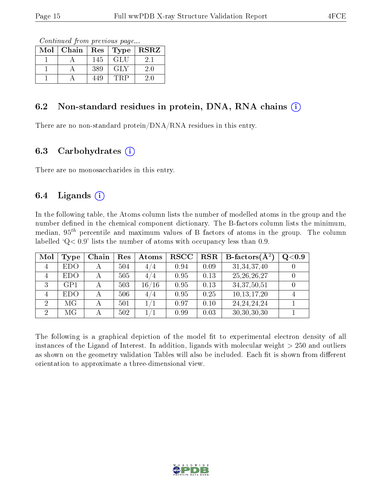Continued from previous page...

| Mol | Chain | Res | Type | <b>RSRZ</b> |
|-----|-------|-----|------|-------------|
|     |       | 145 | GLU  | 21          |
|     |       | 389 | GLY  | $2.0\,$     |
|     |       | 449 | 'RP  |             |

### 6.2 Non-standard residues in protein, DNA, RNA chains  $(i)$

There are no non-standard protein/DNA/RNA residues in this entry.

#### 6.3 Carbohydrates  $(i)$

There are no monosaccharides in this entry.

### 6.4 Ligands  $(i)$

In the following table, the Atoms column lists the number of modelled atoms in the group and the number defined in the chemical component dictionary. The B-factors column lists the minimum, median,  $95<sup>th</sup>$  percentile and maximum values of B factors of atoms in the group. The column labelled  $Q< 0.9$ ' lists the number of atoms with occupancy less than 0.9.

| Mol            | Type       | Chain          | Res | Atoms | <b>RSCC</b> | <b>RSR</b> | <b>B</b> -factors( $\overline{A^2}$ ) | Q <sub>0.9</sub> |
|----------------|------------|----------------|-----|-------|-------------|------------|---------------------------------------|------------------|
| 4              | <b>EDO</b> | $\overline{A}$ | 504 | 4/4   | 0.94        | 0.09       | 31, 34, 37, 40                        |                  |
| $\overline{4}$ | <b>EDO</b> |                | 505 | 4 / 4 | 0.95        | 0.13       | 25, 26, 26, 27                        |                  |
| 3              | GPI        |                | 503 | 16/16 | 0.95        | 0.13       | 34, 37, 50, 51                        |                  |
| 4              | <b>EDO</b> |                | 506 | 4/4   | 0.95        | 0.25       | 10,13,17,20                           |                  |
| 2              | МG         |                | 501 |       | 0.97        | 0.10       | 24, 24, 24, 24                        |                  |
| $\overline{2}$ | МG         |                | 502 |       | 0.99        | 0.03       | 30,30,30,30                           |                  |

The following is a graphical depiction of the model fit to experimental electron density of all instances of the Ligand of Interest. In addition, ligands with molecular weight  $> 250$  and outliers as shown on the geometry validation Tables will also be included. Each fit is shown from different orientation to approximate a three-dimensional view.